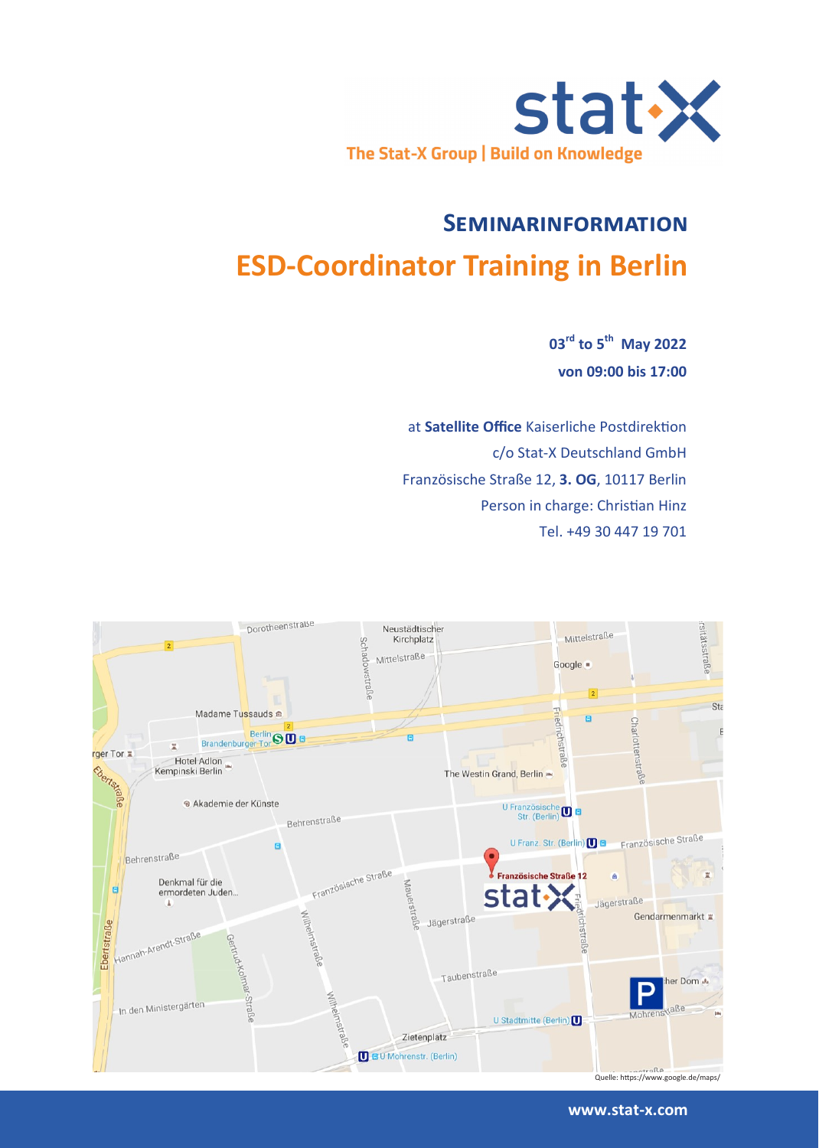

# **Seminarinformation ESD-Coordinator Training in Berlin**

**03rd to 5th May 2022 von 09:00 bis 17:00**

at **Satellite Office** Kaiserliche Postdirektion c/o Stat-X Deutschland GmbH Französische Straße 12, **3. OG**, 10117 Berlin Person in charge: Christian Hinz Tel. +49 30 447 19 701



Quelle: https://www.google.de/maps/

#### **www.stat-x.com**